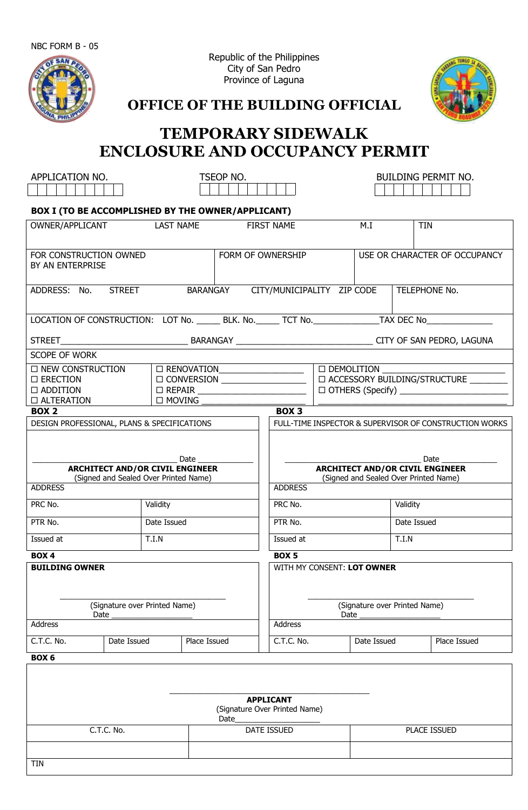NBC FORM B - 05



Republic of the Philippines City of San Pedro Province of Laguna



**OFFICE OF THE BUILDING OFFICIAL**

## **TEMPORARY SIDEWALK ENCLOSURE AND OCCUPANCY PERMIT**

| APPLICATION NO.                                                                                                                  |                                     | TSEOP NO.   |                   |                                                                                                                          | <b>BUILDING PERMIT NO.</b> |                               |            |               |  |
|----------------------------------------------------------------------------------------------------------------------------------|-------------------------------------|-------------|-------------------|--------------------------------------------------------------------------------------------------------------------------|----------------------------|-------------------------------|------------|---------------|--|
| BOX I (TO BE ACCOMPLISHED BY THE OWNER/APPLICANT)                                                                                |                                     |             |                   |                                                                                                                          |                            |                               |            |               |  |
|                                                                                                                                  | OWNER/APPLICANT<br><b>LAST NAME</b> |             | <b>FIRST NAME</b> |                                                                                                                          | M.I                        |                               | <b>TIN</b> |               |  |
| FOR CONSTRUCTION OWNED<br>BY AN ENTERPRISE                                                                                       |                                     |             | FORM OF OWNERSHIP |                                                                                                                          |                            | USE OR CHARACTER OF OCCUPANCY |            |               |  |
| ADDRESS: No. STREET                                                                                                              |                                     |             | BARANGAY          | CITY/MUNICIPALITY ZIP CODE                                                                                               |                            |                               |            | TELEPHONE No. |  |
| LOCATION OF CONSTRUCTION: LOT No. _______ BLK. No. ______ TCT No. _______________ TAX DEC No_________________                    |                                     |             |                   |                                                                                                                          |                            |                               |            |               |  |
|                                                                                                                                  |                                     |             |                   |                                                                                                                          |                            |                               |            |               |  |
| SCOPE OF WORK                                                                                                                    |                                     |             |                   |                                                                                                                          |                            |                               |            |               |  |
| □ NEW CONSTRUCTION<br>$\square$ ERECTION<br>$\Box$ ADDITION<br>$\Box$ ALTERATION                                                 |                                     |             |                   |                                                                                                                          |                            |                               |            |               |  |
| <b>BOX 2</b>                                                                                                                     |                                     |             |                   | BOX <sub>3</sub>                                                                                                         |                            |                               |            |               |  |
| Date<br><b>ARCHITECT AND/OR CIVIL ENGINEER</b><br>(Signed and Sealed Over Printed Name)<br><b>ADDRESS</b><br>PRC No.<br>Validity |                                     |             |                   | <b>ARCHITECT AND/OR CIVIL ENGINEER</b><br>(Signed and Sealed Over Printed Name)<br><b>ADDRESS</b><br>PRC No.<br>Validity |                            |                               |            |               |  |
| PTR No.                                                                                                                          |                                     | Date Issued |                   | PTR No.                                                                                                                  |                            | Date Issued                   |            |               |  |
| Issued at                                                                                                                        |                                     | T.I.N       |                   | Issued at                                                                                                                |                            | T.I.N                         |            |               |  |
| $\overline{BOX}$ 4                                                                                                               |                                     |             |                   | BOX <sub>5</sub>                                                                                                         |                            |                               |            |               |  |
| <b>BUILDING OWNER</b><br>(Signature over Printed Name)<br>Date                                                                   |                                     |             |                   | WITH MY CONSENT: LOT OWNER<br>(Signature over Printed Name)<br>Date                                                      |                            |                               |            |               |  |
| Address                                                                                                                          |                                     |             |                   | Address                                                                                                                  |                            |                               |            |               |  |
| C.T.C. No.                                                                                                                       | Date Issued                         |             | Place Issued      | C.T.C. No.                                                                                                               |                            | Date Issued                   |            | Place Issued  |  |
| BOX 6                                                                                                                            |                                     |             |                   |                                                                                                                          |                            |                               |            |               |  |
|                                                                                                                                  | C.T.C. No.                          |             | Date              | <b>APPLICANT</b><br>(Signature Over Printed Name)<br>DATE ISSUED                                                         |                            |                               |            | PLACE ISSUED  |  |
|                                                                                                                                  |                                     |             |                   |                                                                                                                          |                            |                               |            |               |  |